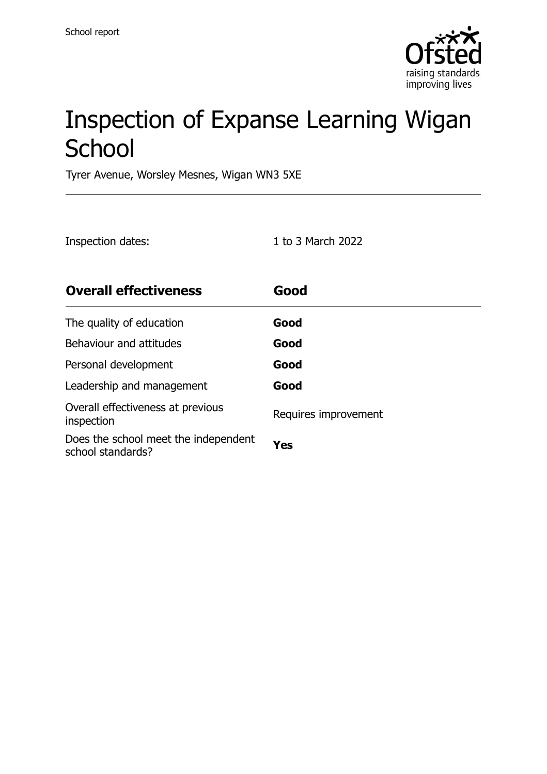

# Inspection of Expanse Learning Wigan **School**

Tyrer Avenue, Worsley Mesnes, Wigan WN3 5XE

| Inspection dates:                                         | 1 to 3 March 2022    |
|-----------------------------------------------------------|----------------------|
| <b>Overall effectiveness</b>                              | Good                 |
| The quality of education                                  | Good                 |
| Behaviour and attitudes                                   | Good                 |
| Personal development                                      | Good                 |
| Leadership and management                                 | Good                 |
| Overall effectiveness at previous<br>inspection           | Requires improvement |
| Does the school meet the independent<br>school standards? | Yes                  |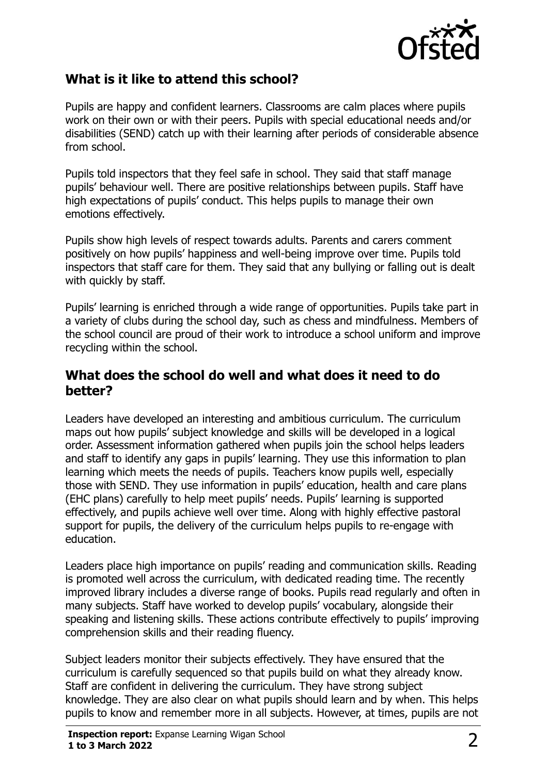

### **What is it like to attend this school?**

Pupils are happy and confident learners. Classrooms are calm places where pupils work on their own or with their peers. Pupils with special educational needs and/or disabilities (SEND) catch up with their learning after periods of considerable absence from school.

Pupils told inspectors that they feel safe in school. They said that staff manage pupils' behaviour well. There are positive relationships between pupils. Staff have high expectations of pupils' conduct. This helps pupils to manage their own emotions effectively.

Pupils show high levels of respect towards adults. Parents and carers comment positively on how pupils' happiness and well-being improve over time. Pupils told inspectors that staff care for them. They said that any bullying or falling out is dealt with quickly by staff.

Pupils' learning is enriched through a wide range of opportunities. Pupils take part in a variety of clubs during the school day, such as chess and mindfulness. Members of the school council are proud of their work to introduce a school uniform and improve recycling within the school.

#### **What does the school do well and what does it need to do better?**

Leaders have developed an interesting and ambitious curriculum. The curriculum maps out how pupils' subject knowledge and skills will be developed in a logical order. Assessment information gathered when pupils join the school helps leaders and staff to identify any gaps in pupils' learning. They use this information to plan learning which meets the needs of pupils. Teachers know pupils well, especially those with SEND. They use information in pupils' education, health and care plans (EHC plans) carefully to help meet pupils' needs. Pupils' learning is supported effectively, and pupils achieve well over time. Along with highly effective pastoral support for pupils, the delivery of the curriculum helps pupils to re-engage with education.

Leaders place high importance on pupils' reading and communication skills. Reading is promoted well across the curriculum, with dedicated reading time. The recently improved library includes a diverse range of books. Pupils read regularly and often in many subjects. Staff have worked to develop pupils' vocabulary, alongside their speaking and listening skills. These actions contribute effectively to pupils' improving comprehension skills and their reading fluency.

Subject leaders monitor their subjects effectively. They have ensured that the curriculum is carefully sequenced so that pupils build on what they already know. Staff are confident in delivering the curriculum. They have strong subject knowledge. They are also clear on what pupils should learn and by when. This helps pupils to know and remember more in all subjects. However, at times, pupils are not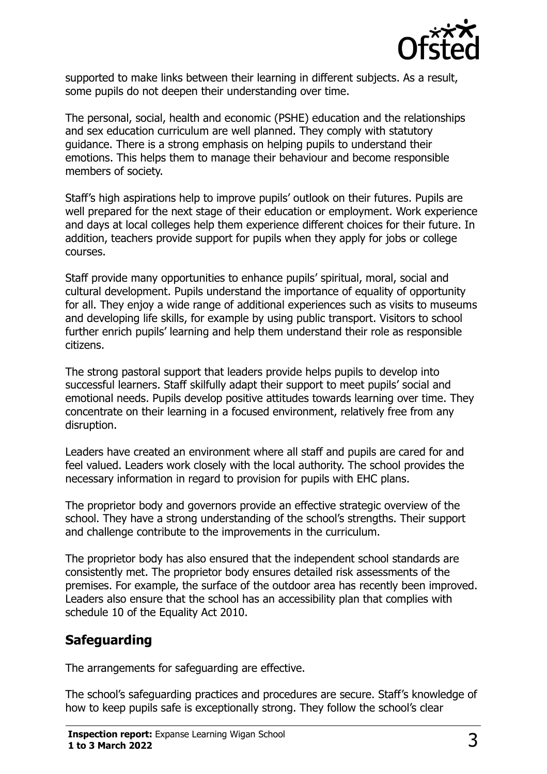

supported to make links between their learning in different subjects. As a result, some pupils do not deepen their understanding over time.

The personal, social, health and economic (PSHE) education and the relationships and sex education curriculum are well planned. They comply with statutory guidance. There is a strong emphasis on helping pupils to understand their emotions. This helps them to manage their behaviour and become responsible members of society.

Staff's high aspirations help to improve pupils' outlook on their futures. Pupils are well prepared for the next stage of their education or employment. Work experience and days at local colleges help them experience different choices for their future. In addition, teachers provide support for pupils when they apply for jobs or college courses.

Staff provide many opportunities to enhance pupils' spiritual, moral, social and cultural development. Pupils understand the importance of equality of opportunity for all. They enjoy a wide range of additional experiences such as visits to museums and developing life skills, for example by using public transport. Visitors to school further enrich pupils' learning and help them understand their role as responsible citizens.

The strong pastoral support that leaders provide helps pupils to develop into successful learners. Staff skilfully adapt their support to meet pupils' social and emotional needs. Pupils develop positive attitudes towards learning over time. They concentrate on their learning in a focused environment, relatively free from any disruption.

Leaders have created an environment where all staff and pupils are cared for and feel valued. Leaders work closely with the local authority. The school provides the necessary information in regard to provision for pupils with EHC plans.

The proprietor body and governors provide an effective strategic overview of the school. They have a strong understanding of the school's strengths. Their support and challenge contribute to the improvements in the curriculum.

The proprietor body has also ensured that the independent school standards are consistently met. The proprietor body ensures detailed risk assessments of the premises. For example, the surface of the outdoor area has recently been improved. Leaders also ensure that the school has an accessibility plan that complies with schedule 10 of the Equality Act 2010.

## **Safeguarding**

The arrangements for safeguarding are effective.

The school's safeguarding practices and procedures are secure. Staff's knowledge of how to keep pupils safe is exceptionally strong. They follow the school's clear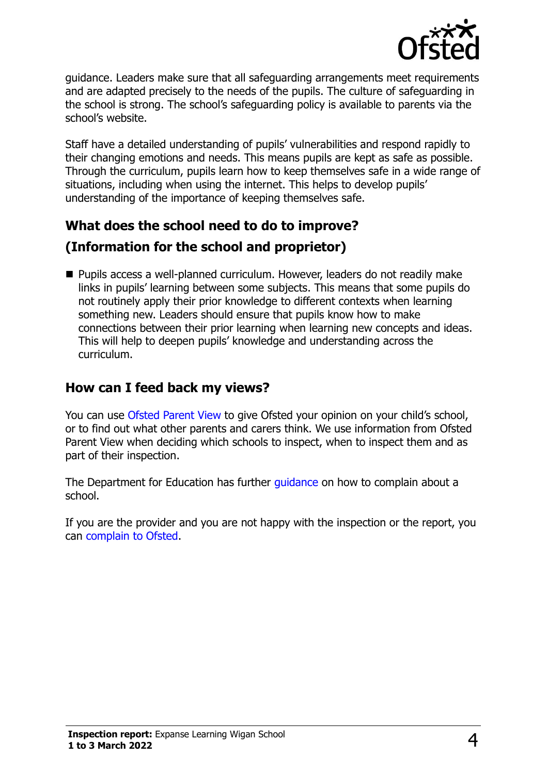

guidance. Leaders make sure that all safeguarding arrangements meet requirements and are adapted precisely to the needs of the pupils. The culture of safeguarding in the school is strong. The school's safeguarding policy is available to parents via the school's website.

Staff have a detailed understanding of pupils' vulnerabilities and respond rapidly to their changing emotions and needs. This means pupils are kept as safe as possible. Through the curriculum, pupils learn how to keep themselves safe in a wide range of situations, including when using the internet. This helps to develop pupils' understanding of the importance of keeping themselves safe.

## **What does the school need to do to improve? (Information for the school and proprietor)**

■ Pupils access a well-planned curriculum. However, leaders do not readily make links in pupils' learning between some subjects. This means that some pupils do not routinely apply their prior knowledge to different contexts when learning something new. Leaders should ensure that pupils know how to make connections between their prior learning when learning new concepts and ideas. This will help to deepen pupils' knowledge and understanding across the curriculum.

### **How can I feed back my views?**

You can use [Ofsted Parent View](http://parentview.ofsted.gov.uk/) to give Ofsted your opinion on your child's school, or to find out what other parents and carers think. We use information from Ofsted Parent View when deciding which schools to inspect, when to inspect them and as part of their inspection.

The Department for Education has further quidance on how to complain about a school.

If you are the provider and you are not happy with the inspection or the report, you can [complain to Ofsted.](http://www.gov.uk/complain-ofsted-report)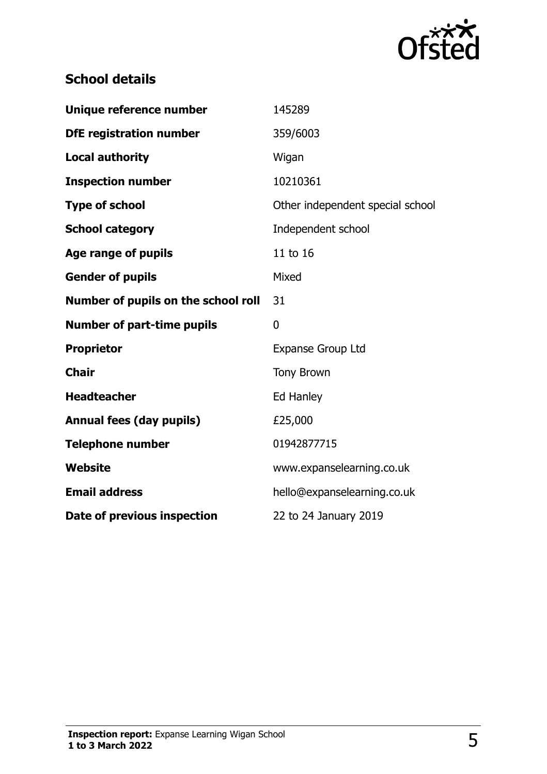

## **School details**

| Unique reference number             | 145289                           |
|-------------------------------------|----------------------------------|
| <b>DfE registration number</b>      | 359/6003                         |
| <b>Local authority</b>              | Wigan                            |
| <b>Inspection number</b>            | 10210361                         |
| <b>Type of school</b>               | Other independent special school |
| <b>School category</b>              | Independent school               |
| Age range of pupils                 | 11 to 16                         |
| <b>Gender of pupils</b>             | Mixed                            |
| Number of pupils on the school roll | 31                               |
|                                     |                                  |
| <b>Number of part-time pupils</b>   | 0                                |
| <b>Proprietor</b>                   | <b>Expanse Group Ltd</b>         |
| <b>Chair</b>                        | <b>Tony Brown</b>                |
| <b>Headteacher</b>                  | Ed Hanley                        |
| <b>Annual fees (day pupils)</b>     | £25,000                          |
| <b>Telephone number</b>             | 01942877715                      |
| Website                             | www.expanselearning.co.uk        |
| <b>Email address</b>                | hello@expanselearning.co.uk      |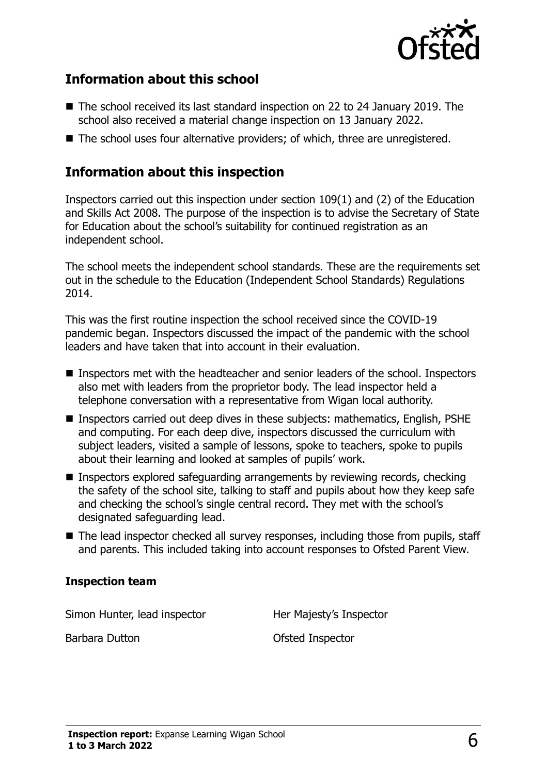

#### **Information about this school**

- The school received its last standard inspection on 22 to 24 January 2019. The school also received a material change inspection on 13 January 2022.
- The school uses four alternative providers; of which, three are unregistered.

#### **Information about this inspection**

Inspectors carried out this inspection under section 109(1) and (2) of the Education and Skills Act 2008. The purpose of the inspection is to advise the Secretary of State for Education about the school's suitability for continued registration as an independent school.

The school meets the independent school standards. These are the requirements set out in the schedule to the Education (Independent School Standards) Regulations 2014.

This was the first routine inspection the school received since the COVID-19 pandemic began. Inspectors discussed the impact of the pandemic with the school leaders and have taken that into account in their evaluation.

- Inspectors met with the headteacher and senior leaders of the school. Inspectors also met with leaders from the proprietor body. The lead inspector held a telephone conversation with a representative from Wigan local authority.
- Inspectors carried out deep dives in these subjects: mathematics, English, PSHE and computing. For each deep dive, inspectors discussed the curriculum with subject leaders, visited a sample of lessons, spoke to teachers, spoke to pupils about their learning and looked at samples of pupils' work.
- Inspectors explored safeguarding arrangements by reviewing records, checking the safety of the school site, talking to staff and pupils about how they keep safe and checking the school's single central record. They met with the school's designated safeguarding lead.
- The lead inspector checked all survey responses, including those from pupils, staff and parents. This included taking into account responses to Ofsted Parent View.

#### **Inspection team**

Simon Hunter, lead inspector **Her Majesty's Inspector** 

Barbara Dutton **District Contract Contract Contract Contract Contract Contract Contract Contract Contract Contract Contract Contract Contract Contract Contract Contract Contract Contract Contract Contract Contract Contract**